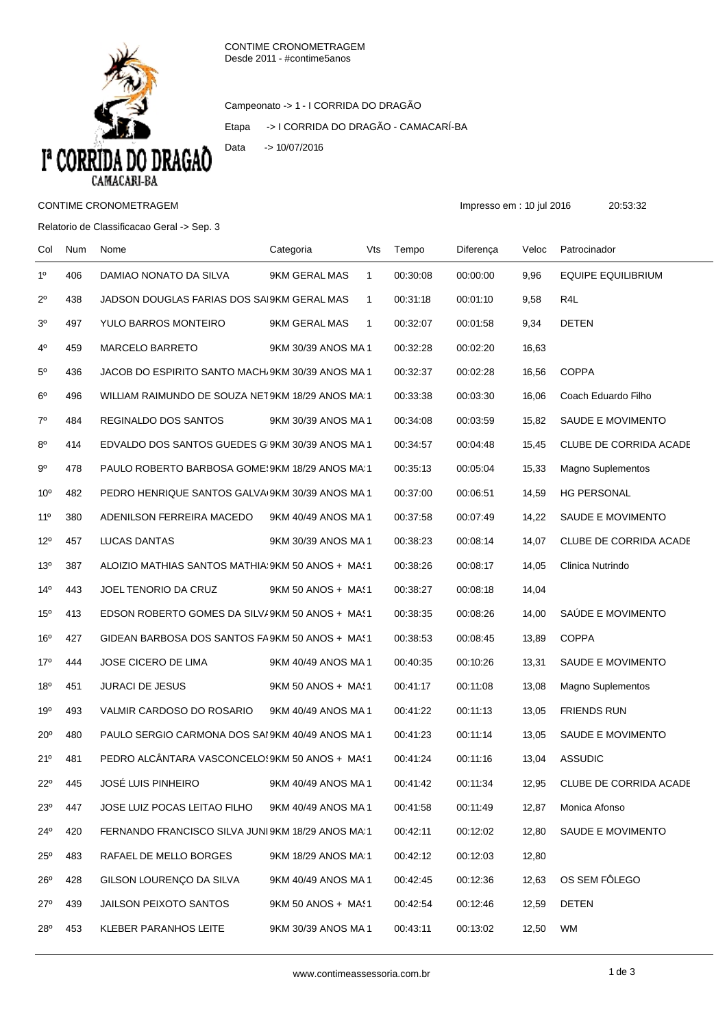

Campeonato -> 1 - I CORRIDA DO DRAGÃO

Etapa -> I CORRIDA DO DRAGÃO - CAMACARÍ-BA



## CONTIME CRONOMETRAGEM **Impresso em : 10 jul 2016** 20:53:32

## Relatorio de Classificacao Geral -> Sep. 3

| Col             | Num | Nome                                              | Categoria           | Vts          | Tempo    | Diferença | Veloc | Patrocinador              |
|-----------------|-----|---------------------------------------------------|---------------------|--------------|----------|-----------|-------|---------------------------|
| 1 <sup>0</sup>  | 406 | DAMIAO NONATO DA SILVA                            | 9KM GERAL MAS       | $\mathbf{1}$ | 00:30:08 | 00:00:00  | 9,96  | <b>EQUIPE EQUILIBRIUM</b> |
| $2^{\circ}$     | 438 | JADSON DOUGLAS FARIAS DOS SAI9KM GERAL MAS        |                     | $\mathbf{1}$ | 00:31:18 | 00:01:10  | 9,58  | R4L                       |
| 3 <sup>o</sup>  | 497 | YULO BARROS MONTEIRO                              | 9KM GERAL MAS       | $\mathbf{1}$ | 00:32:07 | 00:01:58  | 9,34  | DETEN                     |
| $4^{\circ}$     | 459 | MARCELO BARRETO                                   | 9KM 30/39 ANOS MA 1 |              | 00:32:28 | 00:02:20  | 16,63 |                           |
| $5^{\rm o}$     | 436 | JACOB DO ESPIRITO SANTO MACH/9KM 30/39 ANOS MA 1  |                     |              | 00:32:37 | 00:02:28  | 16,56 | <b>COPPA</b>              |
| $6^{\circ}$     | 496 | WILLIAM RAIMUNDO DE SOUZA NET9KM 18/29 ANOS MA 1  |                     |              | 00:33:38 | 00:03:30  | 16,06 | Coach Eduardo Filho       |
| $7^\circ$       | 484 | REGINALDO DOS SANTOS                              | 9KM 30/39 ANOS MA1  |              | 00:34:08 | 00:03:59  | 15,82 | SAUDE E MOVIMENTO         |
| $8^{\circ}$     | 414 | EDVALDO DOS SANTOS GUEDES GI9KM 30/39 ANOS MA 1   |                     |              | 00:34:57 | 00:04:48  | 15,45 | CLUBE DE CORRIDA ACADE    |
| 90              | 478 | PAULO ROBERTO BARBOSA GOME! 9KM 18/29 ANOS MA:1   |                     |              | 00:35:13 | 00:05:04  | 15,33 | Magno Suplementos         |
| 10 <sup>o</sup> | 482 | PEDRO HENRIQUE SANTOS GALVA 9KM 30/39 ANOS MA 1   |                     |              | 00:37:00 | 00:06:51  | 14,59 | <b>HG PERSONAL</b>        |
| $11^{\circ}$    | 380 | ADENILSON FERREIRA MACEDO                         | 9KM 40/49 ANOS MA 1 |              | 00:37:58 | 00:07:49  | 14,22 | SAUDE E MOVIMENTO         |
| $12^{\circ}$    | 457 | LUCAS DANTAS                                      | 9KM 30/39 ANOS MA 1 |              | 00:38:23 | 00:08:14  | 14,07 | CLUBE DE CORRIDA ACADE    |
| 13 <sup>0</sup> | 387 | ALOIZIO MATHIAS SANTOS MATHIA: 9KM 50 ANOS + MAS1 |                     |              | 00:38:26 | 00:08:17  | 14,05 | Clinica Nutrindo          |
| $14^{\circ}$    | 443 | JOEL TENORIO DA CRUZ                              | 9KM 50 ANOS + MAS1  |              | 00:38:27 | 00:08:18  | 14,04 |                           |
| 15 <sup>o</sup> | 413 | EDSON ROBERTO GOMES DA SILV/9KM 50 ANOS + MAS1    |                     |              | 00:38:35 | 00:08:26  | 14,00 | SAÚDE E MOVIMENTO         |
| 16 <sup>o</sup> | 427 | GIDEAN BARBOSA DOS SANTOS FA 9KM 50 ANOS + MAS1   |                     |              | 00:38:53 | 00:08:45  | 13,89 | <b>COPPA</b>              |
| 17°             | 444 | JOSE CICERO DE LIMA                               | 9KM 40/49 ANOS MA 1 |              | 00:40:35 | 00:10:26  | 13,31 | SAUDE E MOVIMENTO         |
| 18 <sup>o</sup> | 451 | <b>JURACI DE JESUS</b>                            | 9KM 50 ANOS + MAS1  |              | 00:41:17 | 00:11:08  | 13,08 | <b>Magno Suplementos</b>  |
| 19°             | 493 | VALMIR CARDOSO DO ROSARIO                         | 9KM 40/49 ANOS MA1  |              | 00:41:22 | 00:11:13  | 13,05 | <b>FRIENDS RUN</b>        |
| $20^{\circ}$    | 480 | PAULO SERGIO CARMONA DOS SAI 9KM 40/49 ANOS MA 1  |                     |              | 00:41:23 | 00:11:14  | 13,05 | SAUDE E MOVIMENTO         |
| $21^{\circ}$    | 481 | PEDRO ALCÂNTARA VASCONCELO (9KM 50 ANOS + MA (1   |                     |              | 00:41:24 | 00:11:16  | 13,04 | <b>ASSUDIC</b>            |
| $22^{\circ}$    | 445 | <b>JOSÉ LUIS PINHEIRO</b>                         | 9KM 40/49 ANOS MA1  |              | 00:41:42 | 00:11:34  | 12,95 | CLUBE DE CORRIDA ACADE    |
| $23^{\circ}$    | 447 | JOSE LUIZ POCAS LEITAO FILHO                      | 9KM 40/49 ANOS MA 1 |              | 00:41:58 | 00:11:49  | 12,87 | Monica Afonso             |
| 24°             | 420 | FERNANDO FRANCISCO SILVA JUNI 9KM 18/29 ANOS MA 1 |                     |              | 00:42:11 | 00:12:02  | 12,80 | SAUDE E MOVIMENTO         |
| $25^{\circ}$    | 483 | RAFAEL DE MELLO BORGES                            | 9KM 18/29 ANOS MA:1 |              | 00:42:12 | 00:12:03  | 12,80 |                           |
| $26^{\circ}$    | 428 | GILSON LOURENÇO DA SILVA                          | 9KM 40/49 ANOS MA 1 |              | 00:42:45 | 00:12:36  | 12,63 | OS SEM FÔLEGO             |
| $27^\circ$      | 439 | <b>JAILSON PEIXOTO SANTOS</b>                     | 9KM 50 ANOS + MAS1  |              | 00:42:54 | 00:12:46  | 12,59 | <b>DETEN</b>              |
| 28 <sup>°</sup> | 453 | KLEBER PARANHOS LEITE                             | 9KM 30/39 ANOS MA 1 |              | 00:43:11 | 00:13:02  | 12,50 | <b>WM</b>                 |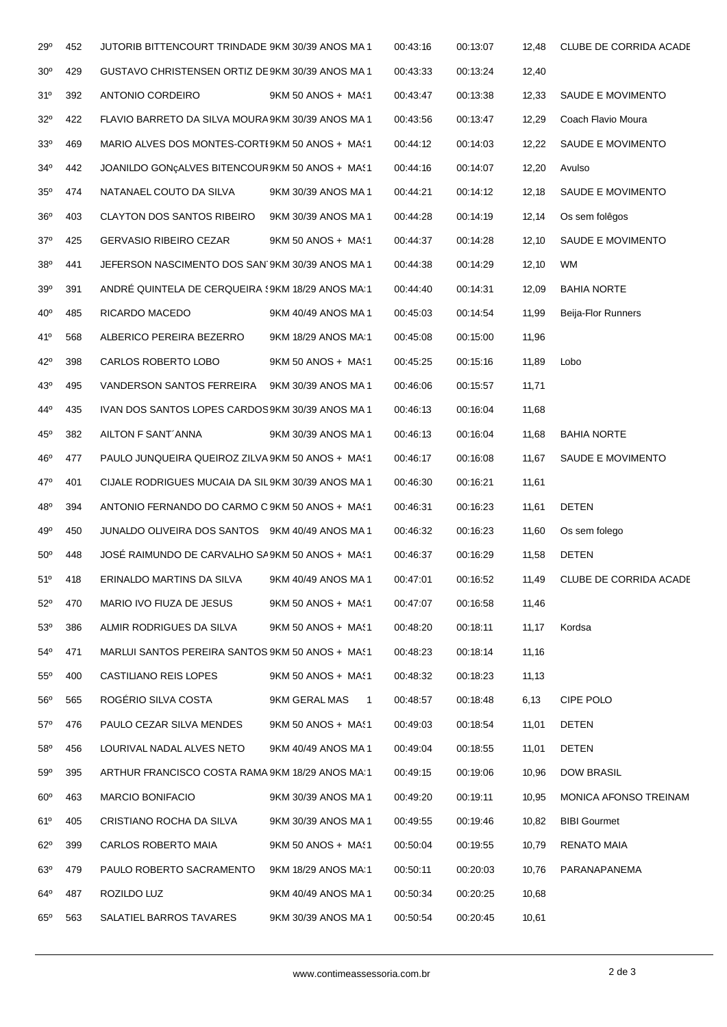| 29°             | 452 | JUTORIB BITTENCOURT TRINDADE 9KM 30/39 ANOS MA 1   |                                 | 00:43:16 | 00:13:07 | 12,48 | CLUBE DE CORRIDA ACADE        |
|-----------------|-----|----------------------------------------------------|---------------------------------|----------|----------|-------|-------------------------------|
| 30 <sup>o</sup> | 429 | GUSTAVO CHRISTENSEN ORTIZ DE9KM 30/39 ANOS MA 1    |                                 | 00:43:33 | 00:13:24 | 12,40 |                               |
| 31°             | 392 | ANTONIO CORDEIRO                                   | 9KM 50 ANOS + MAS1              | 00:43:47 | 00:13:38 | 12,33 | SAUDE E MOVIMENTO             |
| $32^{\circ}$    | 422 | FLAVIO BARRETO DA SILVA MOURA 9KM 30/39 ANOS MA 1  |                                 | 00:43:56 | 00:13:47 | 12,29 | Coach Flavio Moura            |
| 33 <sup>0</sup> | 469 | MARIO ALVES DOS MONTES-CORTE9KM 50 ANOS + MAS1     |                                 | 00:44:12 | 00:14:03 | 12,22 | SAUDE E MOVIMENTO             |
| 34°             | 442 | JOANILDO GONÇALVES BITENCOUR9KM 50 ANOS + MAS1     |                                 | 00:44:16 | 00:14:07 | 12,20 | Avulso                        |
| $35^\circ$      | 474 | NATANAEL COUTO DA SILVA                            | 9KM 30/39 ANOS MA1              | 00:44:21 | 00:14:12 | 12,18 | SAUDE E MOVIMENTO             |
| $36^{\circ}$    | 403 | <b>CLAYTON DOS SANTOS RIBEIRO</b>                  | 9KM 30/39 ANOS MA 1             | 00:44:28 | 00:14:19 | 12,14 | Os sem folêgos                |
| $37^\circ$      | 425 | <b>GERVASIO RIBEIRO CEZAR</b>                      | 9KM 50 ANOS + MAS1              | 00:44:37 | 00:14:28 | 12,10 | SAUDE E MOVIMENTO             |
| 38°             | 441 | JEFERSON NASCIMENTO DOS SAN 9KM 30/39 ANOS MA 1    |                                 | 00:44:38 | 00:14:29 | 12,10 | <b>WM</b>                     |
| 39°             | 391 | ANDRÉ QUINTELA DE CERQUEIRA (9KM 18/29 ANOS MA 1   |                                 | 00:44:40 | 00:14:31 | 12,09 | <b>BAHIA NORTE</b>            |
| 40 <sup>o</sup> | 485 | RICARDO MACEDO                                     | 9KM 40/49 ANOS MA 1             | 00:45:03 | 00:14:54 | 11,99 | Beija-Flor Runners            |
| 41°             | 568 | ALBERICO PEREIRA BEZERRO                           | 9KM 18/29 ANOS MA:1             | 00:45:08 | 00:15:00 | 11,96 |                               |
| 42°             | 398 | CARLOS ROBERTO LOBO                                | 9KM 50 ANOS + MAS1              | 00:45:25 | 00:15:16 | 11,89 | Lobo                          |
| 43°             | 495 | VANDERSON SANTOS FERREIRA                          | 9KM 30/39 ANOS MA 1             | 00:46:06 | 00:15:57 | 11,71 |                               |
| 44°             | 435 | IVAN DOS SANTOS LOPES CARDOS 9KM 30/39 ANOS MA 1   |                                 | 00:46:13 | 00:16:04 | 11,68 |                               |
| 45°             | 382 | AILTON F SANT'ANNA                                 | 9KM 30/39 ANOS MA1              | 00:46:13 | 00:16:04 | 11,68 | <b>BAHIA NORTE</b>            |
| 46 <sup>°</sup> | 477 | PAULO JUNQUEIRA QUEIROZ ZILVA 9KM 50 ANOS + MAS1   |                                 | 00:46:17 | 00:16:08 | 11,67 | SAUDE E MOVIMENTO             |
| 47°             | 401 | CIJALE RODRIGUES MUCAIA DA SIL 9KM 30/39 ANOS MA 1 |                                 | 00:46:30 | 00:16:21 | 11,61 |                               |
| 48°             | 394 | ANTONIO FERNANDO DO CARMO C 9KM 50 ANOS + MAS1     |                                 | 00:46:31 | 00:16:23 | 11,61 | DETEN                         |
| 49°             | 450 | JUNALDO OLIVEIRA DOS SANTOS 9KM 40/49 ANOS MA 1    |                                 | 00:46:32 | 00:16:23 | 11,60 | Os sem folego                 |
| $50^{\circ}$    | 448 | JOSE RAIMUNDO DE CARVALHO SA9KM 50 ANOS + MAS1     |                                 | 00:46:37 | 00:16:29 | 11,58 | DETEN                         |
| $51^{\circ}$    | 418 | ERINALDO MARTINS DA SILVA                          | 9KM 40/49 ANOS MA1              | 00:47:01 | 00:16:52 | 11,49 | <b>CLUBE DE CORRIDA ACADE</b> |
| $52^{\circ}$    | 470 | MARIO IVO FIUZA DE JESUS                           | 9KM 50 ANOS + MAS1              | 00:47:07 | 00:16:58 | 11,46 |                               |
| $53^\circ$      | 386 | ALMIR RODRIGUES DA SILVA                           | 9KM 50 ANOS + MAS1              | 00:48:20 | 00:18:11 | 11,17 | Kordsa                        |
| 54°             | 471 | MARLUI SANTOS PEREIRA SANTOS 9KM 50 ANOS + MAS1    |                                 | 00:48:23 | 00:18:14 | 11,16 |                               |
| $55^\circ$      | 400 | CASTILIANO REIS LOPES                              | 9KM 50 ANOS + MAS1              | 00:48:32 | 00:18:23 | 11,13 |                               |
| $56^{\circ}$    | 565 | ROGÉRIO SILVA COSTA                                | 9KM GERAL MAS<br>$\overline{1}$ | 00:48:57 | 00:18:48 | 6,13  | CIPE POLO                     |
| $57^\circ$      | 476 | PAULO CEZAR SILVA MENDES                           | 9KM 50 ANOS + MAS1              | 00:49:03 | 00:18:54 | 11,01 | DETEN                         |
| $58^{\circ}$    | 456 | LOURIVAL NADAL ALVES NETO                          | 9KM 40/49 ANOS MA 1             | 00:49:04 | 00:18:55 | 11,01 | DETEN                         |
| 59°             | 395 | ARTHUR FRANCISCO COSTA RAMA 9KM 18/29 ANOS MA:1    |                                 | 00:49:15 | 00:19:06 | 10,96 | DOW BRASIL                    |
| $60^{\circ}$    | 463 | <b>MARCIO BONIFACIO</b>                            | 9KM 30/39 ANOS MA 1             | 00:49:20 | 00:19:11 | 10,95 | MONICA AFONSO TREINAM         |
| 61°             | 405 | CRISTIANO ROCHA DA SILVA                           | 9KM 30/39 ANOS MA 1             | 00:49:55 | 00:19:46 | 10,82 | <b>BIBI Gourmet</b>           |
| $62^{\circ}$    | 399 | CARLOS ROBERTO MAIA                                | 9KM 50 ANOS + MAS1              | 00:50:04 | 00:19:55 | 10,79 | RENATO MAIA                   |
| $63^{\circ}$    | 479 | PAULO ROBERTO SACRAMENTO                           | 9KM 18/29 ANOS MA 1             | 00:50:11 | 00:20:03 | 10,76 | PARANAPANEMA                  |
| 64°             | 487 | ROZILDO LUZ                                        | 9KM 40/49 ANOS MA 1             | 00:50:34 | 00:20:25 | 10,68 |                               |
| $65^{\circ}$    | 563 | SALATIEL BARROS TAVARES                            | 9KM 30/39 ANOS MA 1             | 00:50:54 | 00:20:45 | 10,61 |                               |